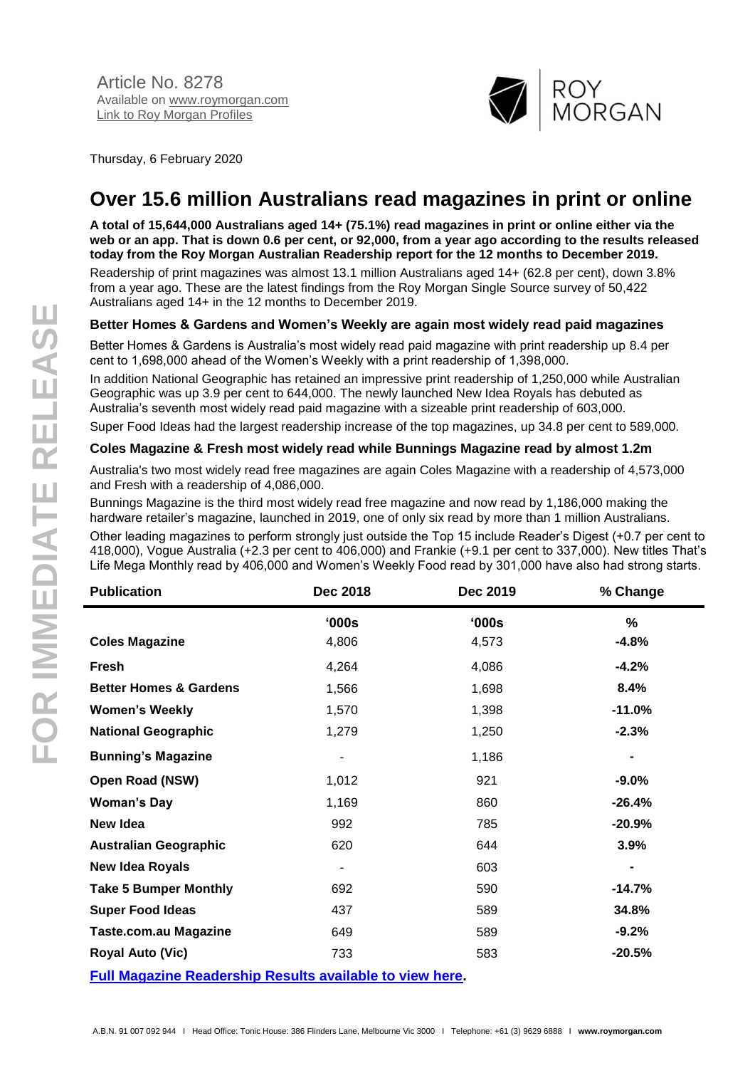

Thursday, 6 February 2020

# **Over 15.6 million Australians read magazines in print or online**

**A total of 15,644,000 Australians aged 14+ (75.1%) read magazines in print or online either via the web or an app. That is down 0.6 per cent, or 92,000, from a year ago according to the results released today from the Roy Morgan Australian Readership report for the 12 months to December 2019.**

Readership of print magazines was almost 13.1 million Australians aged 14+ (62.8 per cent), down 3.8% from a year ago. These are the latest findings from the Roy Morgan Single Source survey of 50,422 Australians aged 14+ in the 12 months to December 2019.

### **Better Homes & Gardens and Women's Weekly are again most widely read paid magazines**

Better Homes & Gardens is Australia's most widely read paid magazine with print readership up 8.4 per cent to 1,698,000 ahead of the Women's Weekly with a print readership of 1,398,000.

In addition National Geographic has retained an impressive print readership of 1,250,000 while Australian Geographic was up 3.9 per cent to 644,000. The newly launched New Idea Royals has debuted as Australia's seventh most widely read paid magazine with a sizeable print readership of 603,000.

Super Food Ideas had the largest readership increase of the top magazines, up 34.8 per cent to 589,000.

### **Coles Magazine & Fresh most widely read while Bunnings Magazine read by almost 1.2m**

Australia's two most widely read free magazines are again Coles Magazine with a readership of 4,573,000 and Fresh with a readership of 4,086,000.

Bunnings Magazine is the third most widely read free magazine and now read by 1,186,000 making the hardware retailer's magazine, launched in 2019, one of only six read by more than 1 million Australians.

Other leading magazines to perform strongly just outside the Top 15 include Reader's Digest (+0.7 per cent to 418,000), Vogue Australia (+2.3 per cent to 406,000) and Frankie (+9.1 per cent to 337,000). New titles That's Life Mega Monthly read by 406,000 and Women's Weekly Food read by 301,000 have also had strong starts.

| <b>Publication</b>                                              | Dec 2018 | Dec 2019 | % Change      |
|-----------------------------------------------------------------|----------|----------|---------------|
|                                                                 | '000s    | '000s    | $\frac{0}{0}$ |
| <b>Coles Magazine</b>                                           | 4,806    | 4,573    | $-4.8%$       |
| <b>Fresh</b>                                                    | 4,264    | 4,086    | $-4.2%$       |
| <b>Better Homes &amp; Gardens</b>                               | 1,566    | 1,698    | 8.4%          |
| <b>Women's Weekly</b>                                           | 1,570    | 1,398    | $-11.0%$      |
| <b>National Geographic</b>                                      | 1,279    | 1,250    | $-2.3%$       |
| <b>Bunning's Magazine</b>                                       | ٠        | 1,186    |               |
| <b>Open Road (NSW)</b>                                          | 1,012    | 921      | $-9.0%$       |
| <b>Woman's Day</b>                                              | 1,169    | 860      | $-26.4%$      |
| New Idea                                                        | 992      | 785      | $-20.9%$      |
| <b>Australian Geographic</b>                                    | 620      | 644      | 3.9%          |
| <b>New Idea Royals</b>                                          | ۰        | 603      |               |
| <b>Take 5 Bumper Monthly</b>                                    | 692      | 590      | $-14.7%$      |
| <b>Super Food Ideas</b>                                         | 437      | 589      | 34.8%         |
| <b>Taste.com.au Magazine</b>                                    | 649      | 589      | $-9.2%$       |
| <b>Royal Auto (Vic)</b>                                         | 733      | 583      | $-20.5%$      |
| <b>Full Magazine Readership Results available to view here.</b> |          |          |               |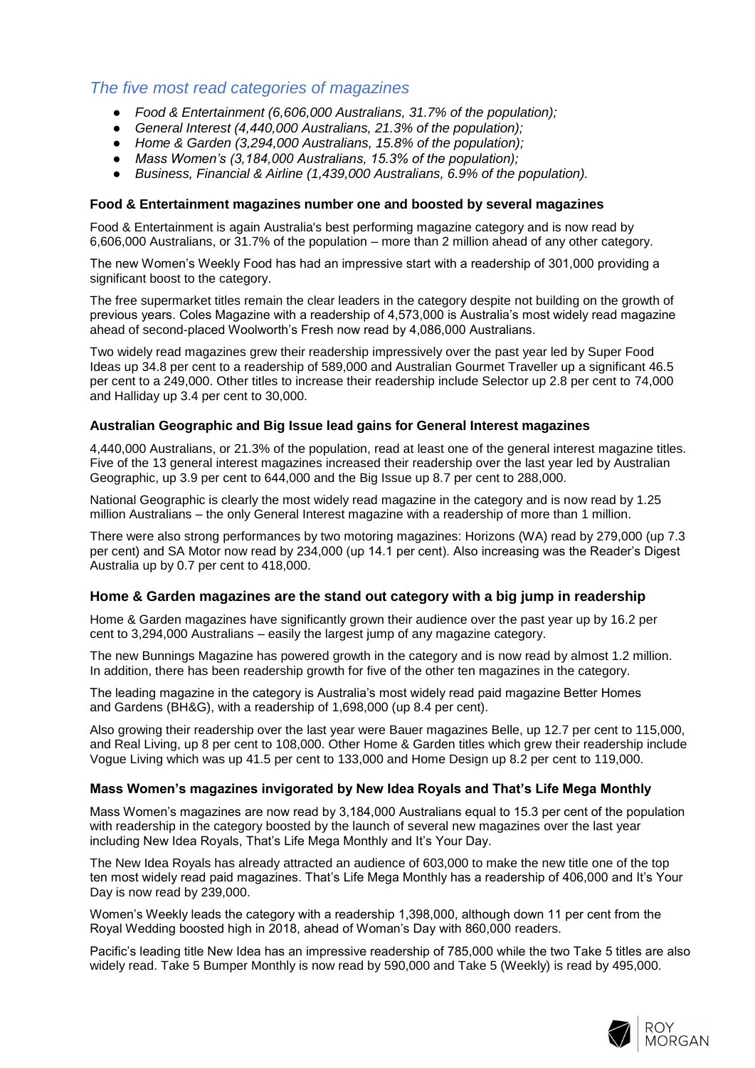## *The five most read categories of magazines*

- *Food & Entertainment (6,606,000 Australians, 31.7% of the population);*
- *General Interest (4,440,000 Australians, 21.3% of the population);*
- *Home & Garden (3,294,000 Australians, 15.8% of the population);*
- *Mass Women's (3,184,000 Australians, 15.3% of the population);*
- *Business, Financial & Airline (1,439,000 Australians, 6.9% of the population).*

### **Food & Entertainment magazines number one and boosted by several magazines**

Food & Entertainment is again Australia's best performing magazine category and is now read by 6,606,000 Australians, or 31.7% of the population – more than 2 million ahead of any other category.

The new Women's Weekly Food has had an impressive start with a readership of 301,000 providing a significant boost to the category.

The free supermarket titles remain the clear leaders in the category despite not building on the growth of previous years. Coles Magazine with a readership of 4,573,000 is Australia's most widely read magazine ahead of second-placed Woolworth's Fresh now read by 4,086,000 Australians.

Two widely read magazines grew their readership impressively over the past year led by Super Food Ideas up 34.8 per cent to a readership of 589,000 and Australian Gourmet Traveller up a significant 46.5 per cent to a 249,000. Other titles to increase their readership include Selector up 2.8 per cent to 74,000 and Halliday up 3.4 per cent to 30,000.

### **Australian Geographic and Big Issue lead gains for General Interest magazines**

4,440,000 Australians, or 21.3% of the population, read at least one of the general interest magazine titles. Five of the 13 general interest magazines increased their readership over the last year led by Australian Geographic, up 3.9 per cent to 644,000 and the Big Issue up 8.7 per cent to 288,000.

National Geographic is clearly the most widely read magazine in the category and is now read by 1.25 million Australians – the only General Interest magazine with a readership of more than 1 million.

There were also strong performances by two motoring magazines: Horizons (WA) read by 279,000 (up 7.3 per cent) and SA Motor now read by 234,000 (up 14.1 per cent). Also increasing was the Reader's Digest Australia up by 0.7 per cent to 418,000.

### **Home & Garden magazines are the stand out category with a big jump in readership**

Home & Garden magazines have significantly grown their audience over the past year up by 16.2 per cent to 3,294,000 Australians – easily the largest jump of any magazine category.

The new Bunnings Magazine has powered growth in the category and is now read by almost 1.2 million. In addition, there has been readership growth for five of the other ten magazines in the category.

The leading magazine in the category is Australia's most widely read paid magazine Better Homes and Gardens (BH&G), with a readership of 1,698,000 (up 8.4 per cent).

Also growing their readership over the last year were Bauer magazines Belle, up 12.7 per cent to 115,000, and Real Living, up 8 per cent to 108,000. Other Home & Garden titles which grew their readership include Vogue Living which was up 41.5 per cent to 133,000 and Home Design up 8.2 per cent to 119,000.

### **Mass Women's magazines invigorated by New Idea Royals and That's Life Mega Monthly**

Mass Women's magazines are now read by 3,184,000 Australians equal to 15.3 per cent of the population with readership in the category boosted by the launch of several new magazines over the last year including New Idea Royals, That's Life Mega Monthly and It's Your Day.

The New Idea Royals has already attracted an audience of 603,000 to make the new title one of the top ten most widely read paid magazines. That's Life Mega Monthly has a readership of 406,000 and It's Your Day is now read by 239,000.

Women's Weekly leads the category with a readership 1,398,000, although down 11 per cent from the Royal Wedding boosted high in 2018, ahead of Woman's Day with 860,000 readers.

Pacific's leading title New Idea has an impressive readership of 785,000 while the two Take 5 titles are also widely read. Take 5 Bumper Monthly is now read by 590,000 and Take 5 (Weekly) is read by 495,000.

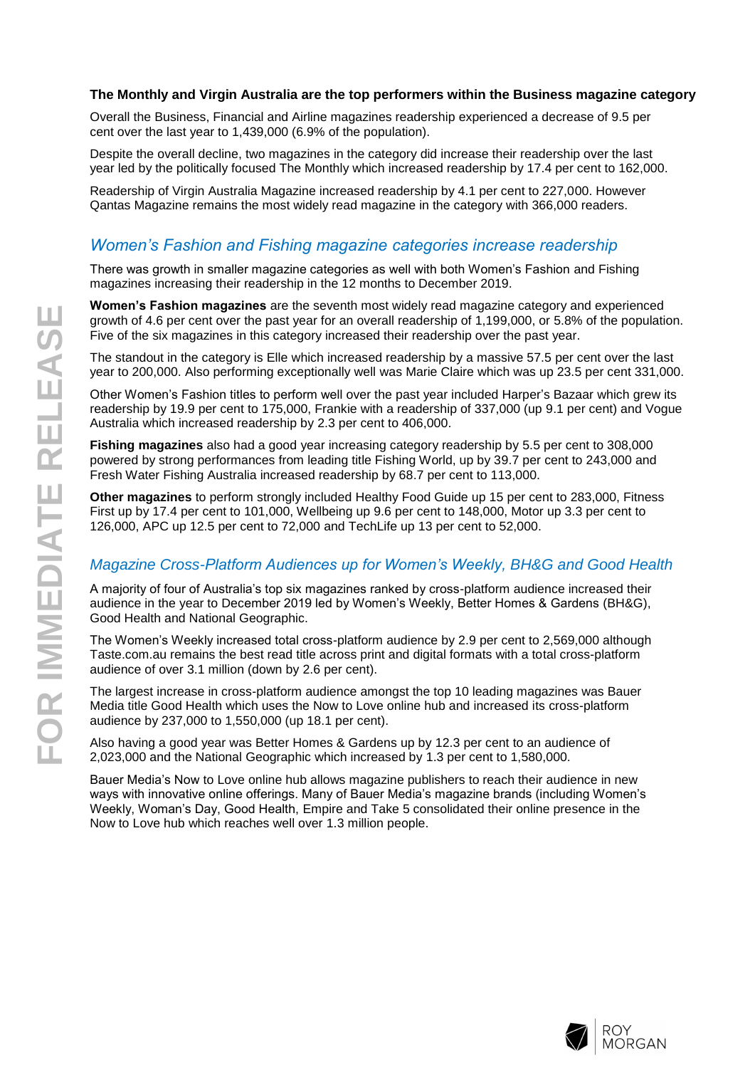### **The Monthly and Virgin Australia are the top performers within the Business magazine category**

Overall the Business, Financial and Airline magazines readership experienced a decrease of 9.5 per cent over the last year to 1,439,000 (6.9% of the population).

Despite the overall decline, two magazines in the category did increase their readership over the last year led by the politically focused The Monthly which increased readership by 17.4 per cent to 162,000.

Readership of Virgin Australia Magazine increased readership by 4.1 per cent to 227,000. However Qantas Magazine remains the most widely read magazine in the category with 366,000 readers.

### *Women's Fashion and Fishing magazine categories increase readership*

There was growth in smaller magazine categories as well with both Women's Fashion and Fishing magazines increasing their readership in the 12 months to December 2019.

**Women's Fashion magazines** are the seventh most widely read magazine category and experienced growth of 4.6 per cent over the past year for an overall readership of 1,199,000, or 5.8% of the population. Five of the six magazines in this category increased their readership over the past year.

The standout in the category is Elle which increased readership by a massive 57.5 per cent over the last year to 200,000. Also performing exceptionally well was Marie Claire which was up 23.5 per cent 331,000.

Other Women's Fashion titles to perform well over the past year included Harper's Bazaar which grew its readership by 19.9 per cent to 175,000, Frankie with a readership of 337,000 (up 9.1 per cent) and Vogue Australia which increased readership by 2.3 per cent to 406,000.

**Fishing magazines** also had a good year increasing category readership by 5.5 per cent to 308,000 powered by strong performances from leading title Fishing World, up by 39.7 per cent to 243,000 and Fresh Water Fishing Australia increased readership by 68.7 per cent to 113,000.

**Other magazines** to perform strongly included Healthy Food Guide up 15 per cent to 283,000, Fitness First up by 17.4 per cent to 101,000, Wellbeing up 9.6 per cent to 148,000, Motor up 3.3 per cent to 126,000, APC up 12.5 per cent to 72,000 and TechLife up 13 per cent to 52,000.

### *Magazine Cross-Platform Audiences up for Women's Weekly, BH&G and Good Health*

A majority of four of Australia's top six magazines ranked by cross-platform audience increased their audience in the year to December 2019 led by Women's Weekly, Better Homes & Gardens (BH&G), Good Health and National Geographic.

The Women's Weekly increased total cross-platform audience by 2.9 per cent to 2,569,000 although Taste.com.au remains the best read title across print and digital formats with a total cross-platform audience of over 3.1 million (down by 2.6 per cent).

The largest increase in cross-platform audience amongst the top 10 leading magazines was Bauer Media title Good Health which uses the Now to Love online hub and increased its cross-platform audience by 237,000 to 1,550,000 (up 18.1 per cent).

Also having a good year was Better Homes & Gardens up by 12.3 per cent to an audience of 2,023,000 and the National Geographic which increased by 1.3 per cent to 1,580,000.

Bauer Media's Now to Love online hub allows magazine publishers to reach their audience in new ways with innovative online offerings. Many of Bauer Media's magazine brands (including Women's Weekly, Woman's Day, Good Health, Empire and Take 5 consolidated their online presence in the Now to Love hub which reaches well over 1.3 million people.

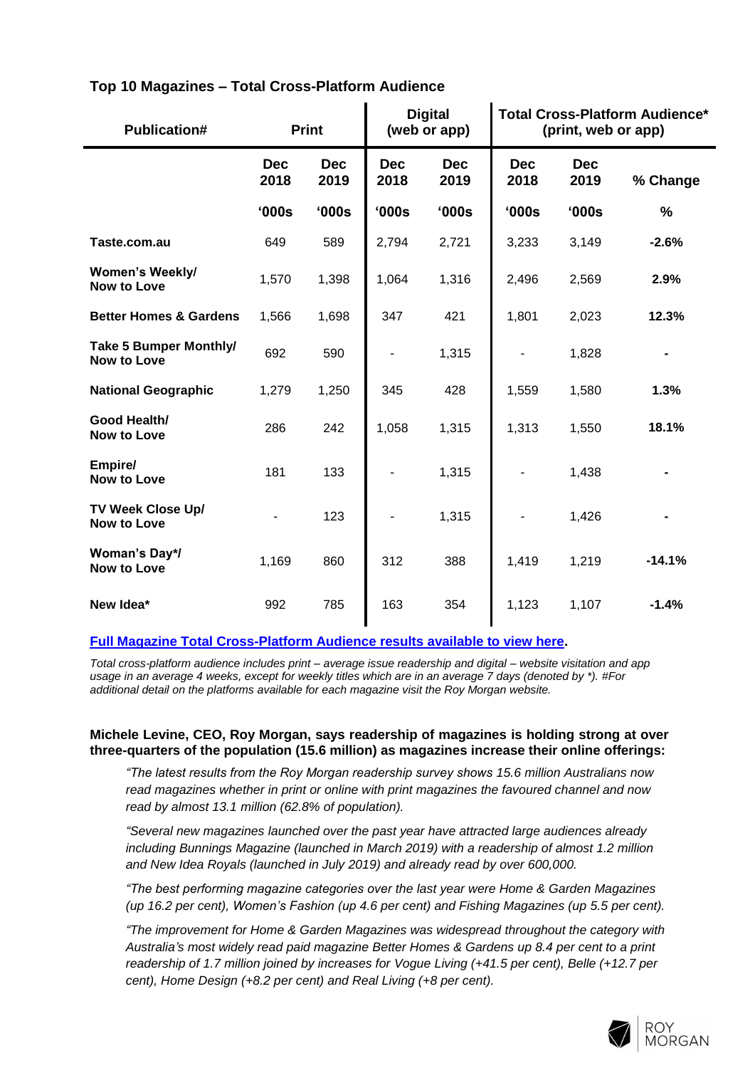| <b>Publication#</b>                                 | <b>Print</b>       |                    | <b>Digital</b><br><b>Total Cross-Platform Audience*</b><br>(web or app)<br>(print, web or app) |                    |                    |                    |          |
|-----------------------------------------------------|--------------------|--------------------|------------------------------------------------------------------------------------------------|--------------------|--------------------|--------------------|----------|
|                                                     | <b>Dec</b><br>2018 | <b>Dec</b><br>2019 | <b>Dec</b><br>2018                                                                             | <b>Dec</b><br>2019 | <b>Dec</b><br>2018 | <b>Dec</b><br>2019 | % Change |
|                                                     | '000s              | '000s              | '000s                                                                                          | '000s              | '000s              | '000s              | $\%$     |
| Taste.com.au                                        | 649                | 589                | 2,794                                                                                          | 2,721              | 3,233              | 3,149              | $-2.6%$  |
| Women's Weekly/<br><b>Now to Love</b>               | 1,570              | 1,398              | 1,064                                                                                          | 1,316              | 2,496              | 2,569              | 2.9%     |
| <b>Better Homes &amp; Gardens</b>                   | 1,566              | 1,698              | 347                                                                                            | 421                | 1,801              | 2,023              | 12.3%    |
| <b>Take 5 Bumper Monthly/</b><br><b>Now to Love</b> | 692                | 590                | $\qquad \qquad \blacksquare$                                                                   | 1,315              |                    | 1,828              |          |
| <b>National Geographic</b>                          | 1,279              | 1,250              | 345                                                                                            | 428                | 1,559              | 1,580              | 1.3%     |
| Good Health/<br><b>Now to Love</b>                  | 286                | 242                | 1,058                                                                                          | 1,315              | 1,313              | 1,550              | 18.1%    |
| Empire/<br><b>Now to Love</b>                       | 181                | 133                |                                                                                                | 1,315              |                    | 1,438              |          |
| TV Week Close Up/<br><b>Now to Love</b>             |                    | 123                |                                                                                                | 1,315              |                    | 1,426              |          |
| Woman's Day*/<br><b>Now to Love</b>                 | 1,169              | 860                | 312                                                                                            | 388                | 1,419              | 1,219              | $-14.1%$ |
| New Idea*                                           | 992                | 785                | 163                                                                                            | 354                | 1,123              | 1,107              | $-1.4%$  |

### **Top 10 Magazines – Total Cross-Platform Audience**

### **Full Magazine [Total Cross-Platform Audience results available to view here.](http://www.roymorgan.com/industries/media/readership/cross-platform-audiences-magazines)**

*Total cross-platform audience includes print – average issue readership and digital – website visitation and app usage in an average 4 weeks, except for weekly titles which are in an average 7 days (denoted by \*). #For additional detail on the platforms available for each magazine visit the Roy Morgan website.*

### **Michele Levine, CEO, Roy Morgan, says readership of magazines is holding strong at over three-quarters of the population (15.6 million) as magazines increase their online offerings:**

*"The latest results from the Roy Morgan readership survey shows 15.6 million Australians now read magazines whether in print or online with print magazines the favoured channel and now read by almost 13.1 million (62.8% of population).*

*"Several new magazines launched over the past year have attracted large audiences already including Bunnings Magazine (launched in March 2019) with a readership of almost 1.2 million and New Idea Royals (launched in July 2019) and already read by over 600,000.*

*"The best performing magazine categories over the last year were Home & Garden Magazines (up 16.2 per cent), Women's Fashion (up 4.6 per cent) and Fishing Magazines (up 5.5 per cent).*

*"The improvement for Home & Garden Magazines was widespread throughout the category with Australia's most widely read paid magazine Better Homes & Gardens up 8.4 per cent to a print readership of 1.7 million joined by increases for Vogue Living (+41.5 per cent), Belle (+12.7 per cent), Home Design (+8.2 per cent) and Real Living (+8 per cent).*